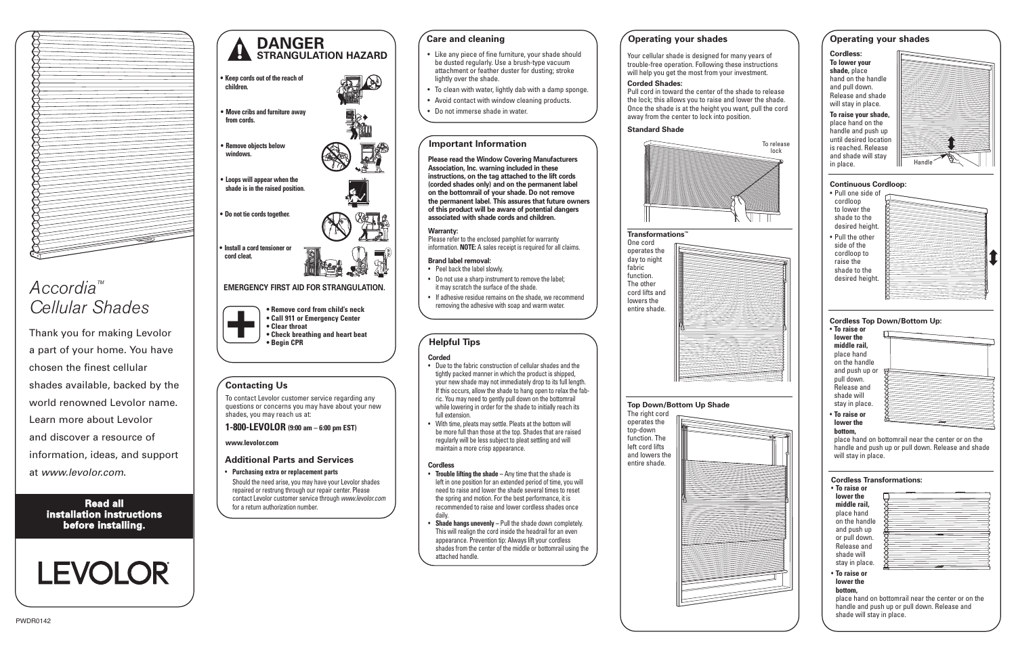#### **Corded Shades:**

away from the center to lock into position.

#### **Standard Shade**

#### **Transformations™**





#### **Care and cleaning**

- Like any piece of fine furniture, your shade should be dusted regularly. Use a brush-type vacuum attachment or feather duster for dusting; stroke lightly over the shade.
- To clean with water, lightly dab with a damp sponge.
- Avoid contact with window cleaning products.
- Do not immerse shade in water.

### **Helpful Tips**

#### **Corded**

- Due to the fabric construction of cellular shades and the tightly packed manner in which the product is shipped, your new shade may not immediately drop to its full length. If this occurs, allow the shade to hang open to relax the fabric. You may need to gently pull down on the bottomrail while lowering in order for the shade to initially reach its full extension.
- With time, pleats may settle. Pleats at the bottom will be more full than those at the top. Shades that are raised regularly will be less subject to pleat settling and will maintain a more crisp appearance.

#### **Operating your shades**

#### **Important Information**

**Please read the Window Covering Manufacturers Association, Inc. warning included in these instructions, on the tag attached to the lift cords (corded shades only) and on the permanent label on the bottomrail of your shade. Do not remove the permanent label. This assures that future owners of this product will be aware of potential dangers associated with shade cords and children.**

#### **Warranty:**

Please refer to the enclosed pamphlet for warranty information. **NOTE:** A sales receipt is required for all claims.

#### **Brand label removal:**

- Peel back the label slowly. • Do not use a sharp instrument to remove the label;
- it may scratch the surface of the shade.
- If adhesive residue remains on the shade, we recommend removing the adhesive with soap and warm water.



#### **Cordless**

- **Trouble lifting the shade –** Any time that the shade is left in one position for an extended period of time, you will need to raise and lower the shade several times to reset the spring and motion. For the best performance, it is recommended to raise and lower cordless shades once daily.
- **Shade hangs unevenly –** Pull the shade down completely. This will realign the cord inside the headrail for an even appearance. Prevention tip: Always lift your cordless shades from the center of the middle or bottomrail using the attached handle.

## **DANGER STRANGULATION HAZARD**

- **EMERGENCY FIRST AID FOR STRANGULATION. • Install a cord tensioner or cord cleat.**
- **• Remove cord from child's neck • Call 911 or Emergency Center • Clear throat • Check breathing and heart beat • Begin CPR +**
- **• Keep cords out of the reach of children.**
- **• Move cribs and furniture away from cords.**
- **• Remove objects below windows.**
- **• Loops will appear when the shade is in the raised position.**
- **• Do not tie cords together.**
- 



# *Accordia™ Cellular Shades*

**Read all installation instructions before installing.**

# **LEVOLOR**

Thank you for making Levolor a part of your home. You have chosen the finest cellular shades available, backed by the world renowned Levolor name. Learn more about Levolor and discover a resource of information, ideas, and support at *www.levolor.com*.

#### **Additional Parts and Services**

- **Purchasing extra or replacement parts** Should the need arise, you may have your Levolor shades repaired or restrung through our repair center. Please
- contact Levolor customer service through *www.levolor.com* for a return authorization number.

## **Contacting Us**

To contact Levolor customer service regarding any questions or concerns you may have about your new shades, you may reach us at:

#### **1-800-LEVOLOR (9:00 am – 6:00 pm EST)**

**www.levolor.com**